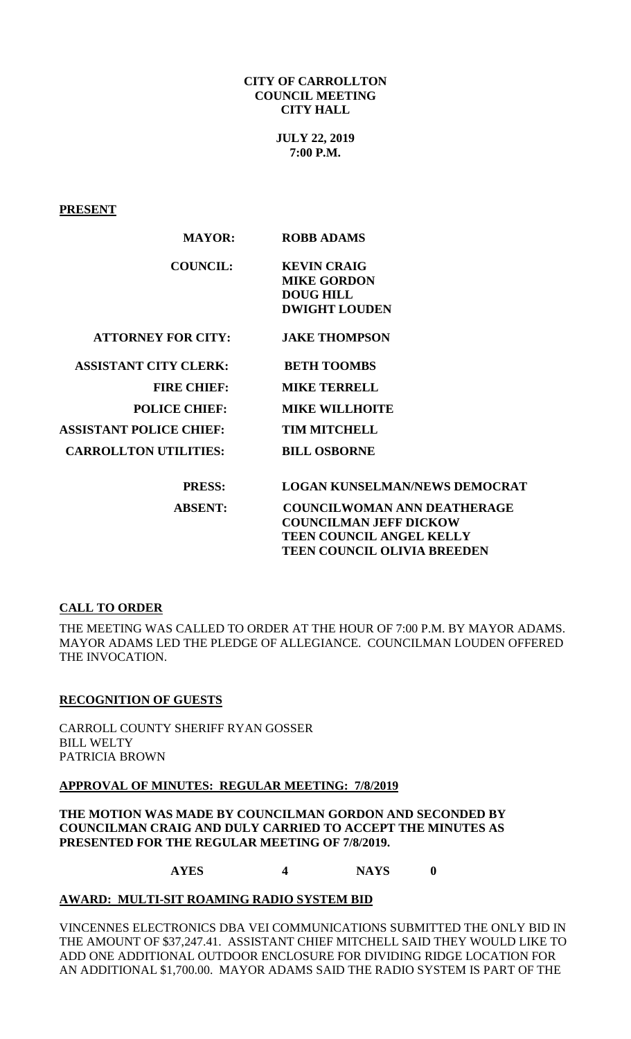#### **CITY OF CARROLLTON COUNCIL MEETING CITY HALL**

**JULY 22, 2019 7:00 P.M.**

**PRESENT**

| <b>MAYOR:</b>                  | <b>ROBB ADAMS</b>                                                                               |
|--------------------------------|-------------------------------------------------------------------------------------------------|
| <b>COUNCIL:</b>                | <b>KEVIN CRAIG</b><br><b>MIKE GORDON</b><br><b>DOUG HILL</b><br><b>DWIGHT LOUDEN</b>            |
| <b>ATTORNEY FOR CITY:</b>      | <b>JAKE THOMPSON</b>                                                                            |
| <b>ASSISTANT CITY CLERK:</b>   | <b>BETH TOOMBS</b>                                                                              |
| <b>FIRE CHIEF:</b>             | <b>MIKE TERRELL</b>                                                                             |
| <b>POLICE CHIEF:</b>           | <b>MIKE WILLHOITE</b>                                                                           |
| <b>ASSISTANT POLICE CHIEF:</b> | <b>TIM MITCHELL</b>                                                                             |
| <b>CARROLLTON UTILITIES:</b>   | <b>BILL OSBORNE</b>                                                                             |
| <b>PRESS:</b>                  | <b>LOGAN KUNSELMAN/NEWS DEMOCRAT</b>                                                            |
| <b>ABSENT:</b>                 | <b>COUNCILWOMAN ANN DEATHERAGE</b><br><b>COUNCILMAN JEFF DICKOW</b><br>TEEN COUNCIL ANGEL KELLY |

### **CALL TO ORDER**

THE MEETING WAS CALLED TO ORDER AT THE HOUR OF 7:00 P.M. BY MAYOR ADAMS. MAYOR ADAMS LED THE PLEDGE OF ALLEGIANCE. COUNCILMAN LOUDEN OFFERED THE INVOCATION.

**TEEN COUNCIL OLIVIA BREEDEN**

### **RECOGNITION OF GUESTS**

CARROLL COUNTY SHERIFF RYAN GOSSER BILL WELTY PATRICIA BROWN

### **APPROVAL OF MINUTES: REGULAR MEETING: 7/8/2019**

**THE MOTION WAS MADE BY COUNCILMAN GORDON AND SECONDED BY COUNCILMAN CRAIG AND DULY CARRIED TO ACCEPT THE MINUTES AS PRESENTED FOR THE REGULAR MEETING OF 7/8/2019.**

**AYES 4 NAYS 0**

#### **AWARD: MULTI-SIT ROAMING RADIO SYSTEM BID**

VINCENNES ELECTRONICS DBA VEI COMMUNICATIONS SUBMITTED THE ONLY BID IN THE AMOUNT OF \$37,247.41. ASSISTANT CHIEF MITCHELL SAID THEY WOULD LIKE TO ADD ONE ADDITIONAL OUTDOOR ENCLOSURE FOR DIVIDING RIDGE LOCATION FOR AN ADDITIONAL \$1,700.00. MAYOR ADAMS SAID THE RADIO SYSTEM IS PART OF THE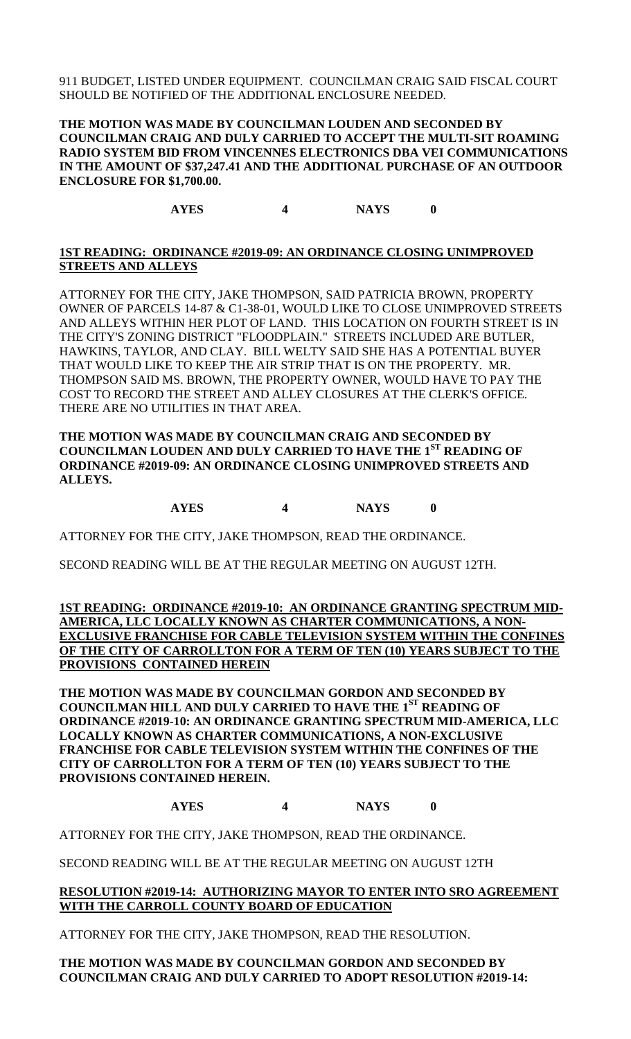911 BUDGET, LISTED UNDER EQUIPMENT. COUNCILMAN CRAIG SAID FISCAL COURT SHOULD BE NOTIFIED OF THE ADDITIONAL ENCLOSURE NEEDED.

**THE MOTION WAS MADE BY COUNCILMAN LOUDEN AND SECONDED BY COUNCILMAN CRAIG AND DULY CARRIED TO ACCEPT THE MULTI-SIT ROAMING RADIO SYSTEM BID FROM VINCENNES ELECTRONICS DBA VEI COMMUNICATIONS IN THE AMOUNT OF \$37,247.41 AND THE ADDITIONAL PURCHASE OF AN OUTDOOR ENCLOSURE FOR \$1,700.00.**

**AYES 4 NAYS 0**

## **1ST READING: ORDINANCE #2019-09: AN ORDINANCE CLOSING UNIMPROVED STREETS AND ALLEYS**

ATTORNEY FOR THE CITY, JAKE THOMPSON, SAID PATRICIA BROWN, PROPERTY OWNER OF PARCELS 14-87 & C1-38-01, WOULD LIKE TO CLOSE UNIMPROVED STREETS AND ALLEYS WITHIN HER PLOT OF LAND. THIS LOCATION ON FOURTH STREET IS IN THE CITY'S ZONING DISTRICT "FLOODPLAIN." STREETS INCLUDED ARE BUTLER, HAWKINS, TAYLOR, AND CLAY. BILL WELTY SAID SHE HAS A POTENTIAL BUYER THAT WOULD LIKE TO KEEP THE AIR STRIP THAT IS ON THE PROPERTY. MR. THOMPSON SAID MS. BROWN, THE PROPERTY OWNER, WOULD HAVE TO PAY THE COST TO RECORD THE STREET AND ALLEY CLOSURES AT THE CLERK'S OFFICE. THERE ARE NO UTILITIES IN THAT AREA.

### **THE MOTION WAS MADE BY COUNCILMAN CRAIG AND SECONDED BY COUNCILMAN LOUDEN AND DULY CARRIED TO HAVE THE 1ST READING OF ORDINANCE #2019-09: AN ORDINANCE CLOSING UNIMPROVED STREETS AND ALLEYS.**

## **AYES 4 NAYS 0**

ATTORNEY FOR THE CITY, JAKE THOMPSON, READ THE ORDINANCE.

SECOND READING WILL BE AT THE REGULAR MEETING ON AUGUST 12TH.

**1ST READING: ORDINANCE #2019-10: AN ORDINANCE GRANTING SPECTRUM MID-AMERICA, LLC LOCALLY KNOWN AS CHARTER COMMUNICATIONS, A NON-EXCLUSIVE FRANCHISE FOR CABLE TELEVISION SYSTEM WITHIN THE CONFINES OF THE CITY OF CARROLLTON FOR A TERM OF TEN (10) YEARS SUBJECT TO THE PROVISIONS CONTAINED HEREIN**

**THE MOTION WAS MADE BY COUNCILMAN GORDON AND SECONDED BY COUNCILMAN HILL AND DULY CARRIED TO HAVE THE 1ST READING OF ORDINANCE #2019-10: AN ORDINANCE GRANTING SPECTRUM MID-AMERICA, LLC LOCALLY KNOWN AS CHARTER COMMUNICATIONS, A NON-EXCLUSIVE FRANCHISE FOR CABLE TELEVISION SYSTEM WITHIN THE CONFINES OF THE CITY OF CARROLLTON FOR A TERM OF TEN (10) YEARS SUBJECT TO THE PROVISIONS CONTAINED HEREIN.**

### **AYES 4 NAYS 0**

ATTORNEY FOR THE CITY, JAKE THOMPSON, READ THE ORDINANCE.

SECOND READING WILL BE AT THE REGULAR MEETING ON AUGUST 12TH

#### **RESOLUTION #2019-14: AUTHORIZING MAYOR TO ENTER INTO SRO AGREEMENT WITH THE CARROLL COUNTY BOARD OF EDUCATION**

ATTORNEY FOR THE CITY, JAKE THOMPSON, READ THE RESOLUTION.

## **THE MOTION WAS MADE BY COUNCILMAN GORDON AND SECONDED BY COUNCILMAN CRAIG AND DULY CARRIED TO ADOPT RESOLUTION #2019-14:**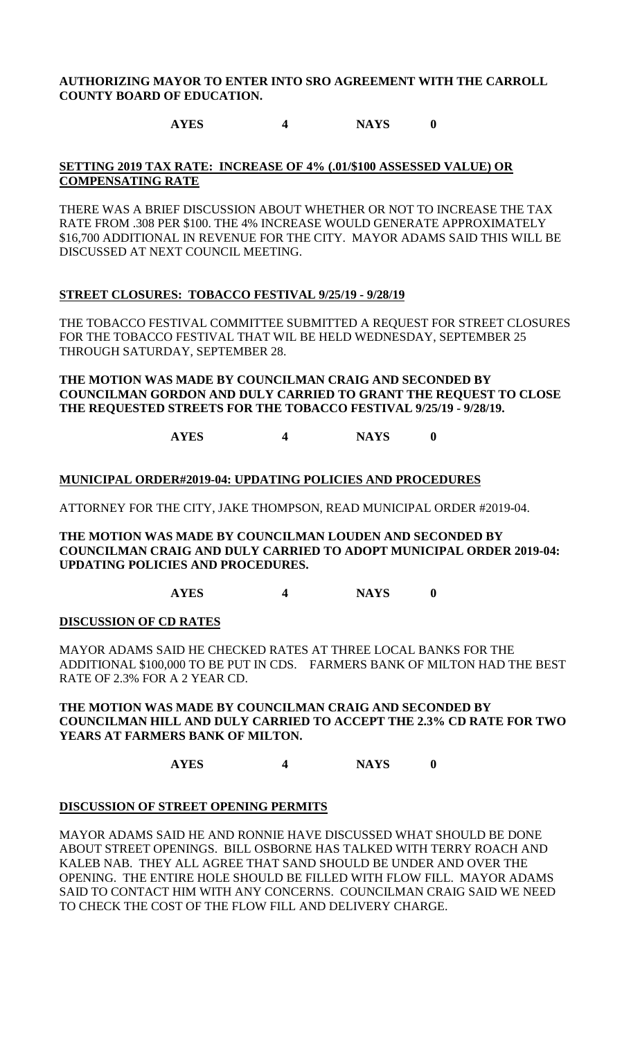### **AUTHORIZING MAYOR TO ENTER INTO SRO AGREEMENT WITH THE CARROLL COUNTY BOARD OF EDUCATION.**

**AYES 4 NAYS 0**

# **SETTING 2019 TAX RATE: INCREASE OF 4% (.01/\$100 ASSESSED VALUE) OR COMPENSATING RATE**

THERE WAS A BRIEF DISCUSSION ABOUT WHETHER OR NOT TO INCREASE THE TAX RATE FROM .308 PER \$100. THE 4% INCREASE WOULD GENERATE APPROXIMATELY \$16,700 ADDITIONAL IN REVENUE FOR THE CITY. MAYOR ADAMS SAID THIS WILL BE DISCUSSED AT NEXT COUNCIL MEETING.

## **STREET CLOSURES: TOBACCO FESTIVAL 9/25/19 - 9/28/19**

THE TOBACCO FESTIVAL COMMITTEE SUBMITTED A REQUEST FOR STREET CLOSURES FOR THE TOBACCO FESTIVAL THAT WIL BE HELD WEDNESDAY, SEPTEMBER 25 THROUGH SATURDAY, SEPTEMBER 28.

**THE MOTION WAS MADE BY COUNCILMAN CRAIG AND SECONDED BY COUNCILMAN GORDON AND DULY CARRIED TO GRANT THE REQUEST TO CLOSE THE REQUESTED STREETS FOR THE TOBACCO FESTIVAL 9/25/19 - 9/28/19.**

**AYES 4 NAYS 0**

## **MUNICIPAL ORDER#2019-04: UPDATING POLICIES AND PROCEDURES**

ATTORNEY FOR THE CITY, JAKE THOMPSON, READ MUNICIPAL ORDER #2019-04.

**THE MOTION WAS MADE BY COUNCILMAN LOUDEN AND SECONDED BY COUNCILMAN CRAIG AND DULY CARRIED TO ADOPT MUNICIPAL ORDER 2019-04: UPDATING POLICIES AND PROCEDURES.**

**AYES 4 NAYS 0**

### **DISCUSSION OF CD RATES**

MAYOR ADAMS SAID HE CHECKED RATES AT THREE LOCAL BANKS FOR THE ADDITIONAL \$100,000 TO BE PUT IN CDS. FARMERS BANK OF MILTON HAD THE BEST RATE OF 2.3% FOR A 2 YEAR CD.

**THE MOTION WAS MADE BY COUNCILMAN CRAIG AND SECONDED BY COUNCILMAN HILL AND DULY CARRIED TO ACCEPT THE 2.3% CD RATE FOR TWO YEARS AT FARMERS BANK OF MILTON.**

**AYES 4 NAYS 0**

### **DISCUSSION OF STREET OPENING PERMITS**

MAYOR ADAMS SAID HE AND RONNIE HAVE DISCUSSED WHAT SHOULD BE DONE ABOUT STREET OPENINGS. BILL OSBORNE HAS TALKED WITH TERRY ROACH AND KALEB NAB. THEY ALL AGREE THAT SAND SHOULD BE UNDER AND OVER THE OPENING. THE ENTIRE HOLE SHOULD BE FILLED WITH FLOW FILL. MAYOR ADAMS SAID TO CONTACT HIM WITH ANY CONCERNS. COUNCILMAN CRAIG SAID WE NEED TO CHECK THE COST OF THE FLOW FILL AND DELIVERY CHARGE.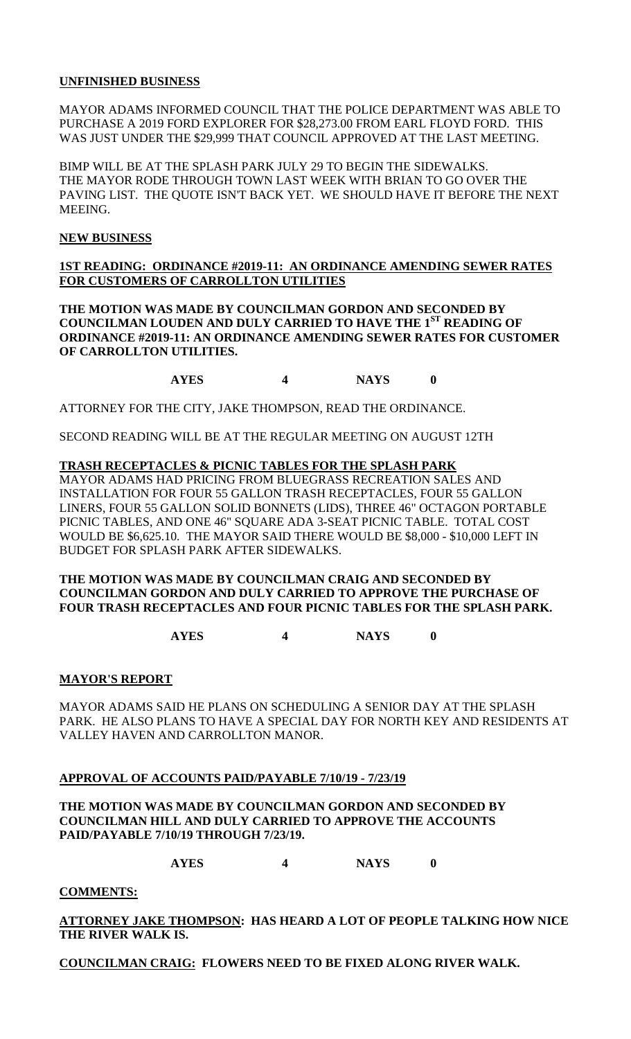### **UNFINISHED BUSINESS**

MAYOR ADAMS INFORMED COUNCIL THAT THE POLICE DEPARTMENT WAS ABLE TO PURCHASE A 2019 FORD EXPLORER FOR \$28,273.00 FROM EARL FLOYD FORD. THIS WAS JUST UNDER THE \$29,999 THAT COUNCIL APPROVED AT THE LAST MEETING.

BIMP WILL BE AT THE SPLASH PARK JULY 29 TO BEGIN THE SIDEWALKS. THE MAYOR RODE THROUGH TOWN LAST WEEK WITH BRIAN TO GO OVER THE PAVING LIST. THE QUOTE ISN'T BACK YET. WE SHOULD HAVE IT BEFORE THE NEXT MEEING.

### **NEW BUSINESS**

### **1ST READING: ORDINANCE #2019-11: AN ORDINANCE AMENDING SEWER RATES FOR CUSTOMERS OF CARROLLTON UTILITIES**

**THE MOTION WAS MADE BY COUNCILMAN GORDON AND SECONDED BY COUNCILMAN LOUDEN AND DULY CARRIED TO HAVE THE 1ST READING OF ORDINANCE #2019-11: AN ORDINANCE AMENDING SEWER RATES FOR CUSTOMER OF CARROLLTON UTILITIES.**

**AYES 4 NAYS 0**

ATTORNEY FOR THE CITY, JAKE THOMPSON, READ THE ORDINANCE.

SECOND READING WILL BE AT THE REGULAR MEETING ON AUGUST 12TH

## **TRASH RECEPTACLES & PICNIC TABLES FOR THE SPLASH PARK**

MAYOR ADAMS HAD PRICING FROM BLUEGRASS RECREATION SALES AND INSTALLATION FOR FOUR 55 GALLON TRASH RECEPTACLES, FOUR 55 GALLON LINERS, FOUR 55 GALLON SOLID BONNETS (LIDS), THREE 46" OCTAGON PORTABLE PICNIC TABLES, AND ONE 46" SQUARE ADA 3-SEAT PICNIC TABLE. TOTAL COST WOULD BE \$6,625.10. THE MAYOR SAID THERE WOULD BE \$8,000 - \$10,000 LEFT IN BUDGET FOR SPLASH PARK AFTER SIDEWALKS.

### **THE MOTION WAS MADE BY COUNCILMAN CRAIG AND SECONDED BY COUNCILMAN GORDON AND DULY CARRIED TO APPROVE THE PURCHASE OF FOUR TRASH RECEPTACLES AND FOUR PICNIC TABLES FOR THE SPLASH PARK.**

**AYES 4 NAYS 0**

### **MAYOR'S REPORT**

MAYOR ADAMS SAID HE PLANS ON SCHEDULING A SENIOR DAY AT THE SPLASH PARK. HE ALSO PLANS TO HAVE A SPECIAL DAY FOR NORTH KEY AND RESIDENTS AT VALLEY HAVEN AND CARROLLTON MANOR.

### **APPROVAL OF ACCOUNTS PAID/PAYABLE 7/10/19 - 7/23/19**

**THE MOTION WAS MADE BY COUNCILMAN GORDON AND SECONDED BY COUNCILMAN HILL AND DULY CARRIED TO APPROVE THE ACCOUNTS PAID/PAYABLE 7/10/19 THROUGH 7/23/19.**

**AYES 4 NAYS 0**

### **COMMENTS:**

**ATTORNEY JAKE THOMPSON: HAS HEARD A LOT OF PEOPLE TALKING HOW NICE THE RIVER WALK IS.** 

**COUNCILMAN CRAIG: FLOWERS NEED TO BE FIXED ALONG RIVER WALK.**